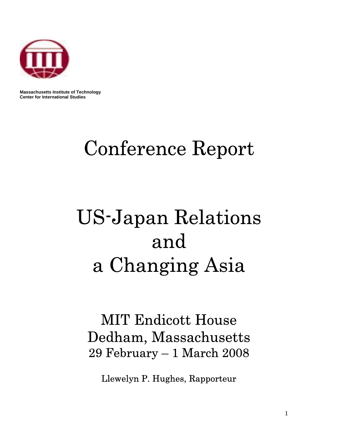

 **Massachusetts Institute of Technology Center for International Studies**

# Conference Report

# US-Japan Relations and a Changing Asia

# MIT Endicott House Dedham, Massachusetts 29 February – 1 March 2008

Llewelyn P. Hughes, Rapporteur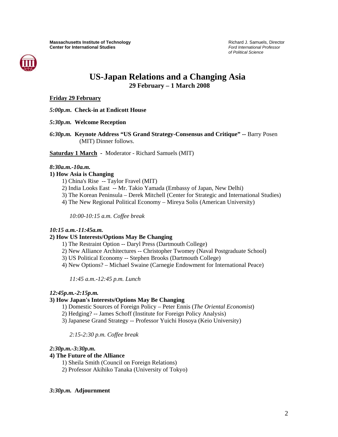

# Center for International Studies<br> *Scrotl Internations and a Changing Asia*<br>
US-Japan Relations and a Changing Asia **29 February – 1 March 2008**

#### **Friday 29 February**

*5:00p.m***. Check-in at Endicott House** 

- *5:30p.m.* **Welcome Reception**
- *6:30p.m.* **Keynote Address "US Grand Strategy-Consensus and Critique" --** Barry Posen (MIT) Dinner follows.

**Saturday 1 March -** Moderator - Richard Samuels (MIT)

#### *8:30a.m.-10a.m.*

#### **1) How Asia is Changing**

- 1) China's Rise -- Taylor Fravel (MIT)
- 2) India Looks East -- Mr. Takio Yamada (Embassy of Japan, New Delhi)
- 3) The Korean Peninsula Derek Mitchell (Center for Strategic and International Studies)
- 4) The New Regional Political Economy Mireya Solis (American University)

*10:00-10:15 a.m. Coffee break* 

#### *10:15 a.m.-11:45a.m.*

#### **2) How US Interests/Options May Be Changing**

- 1) The Restraint Option -- Daryl Press (Dartmouth College)
- 2) New Alliance Architectures -- Christopher Twomey (Naval Postgraduate School)
- 3) US Political Economy -- Stephen Brooks (Dartmouth College)
- 4) New Options? Michael Swaine (Carnegie Endowment for International Peace)

*11:45 a.m.-12:45 p.m. Lunch* 

#### *12:45p.m.-2:15p.m.*

#### **3) How Japan's Interests/Options May Be Changing**

- 1) Domestic Sources of Foreign Policy Peter Ennis (*The Oriental Economist*)
- 2) Hedging? -- James Schoff (Institute for Foreign Policy Analysis)
- 3) Japanese Grand Strategy -- Professor Yuichi Hosoya (Keio University)

*2:15-2:30 p.m. Coffee break* 

#### *2:30p.m.-3:30p.m.*

#### **4) The Future of the Alliance**

- 1) Sheila Smith (Council on Foreign Relations)
- 2) Professor Akihiko Tanaka (University of Tokyo)

#### *3:30p.m.* **Adjournment**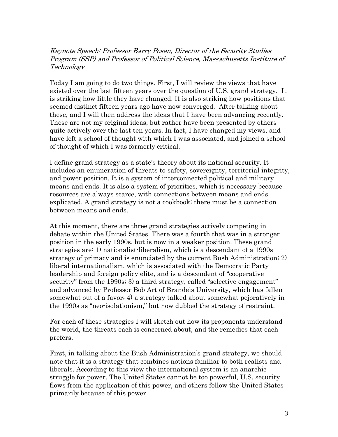Keynote Speech: Professor Barry Posen, Director of the Security Studies Program (SSP) and Professor of Political Science, Massachusetts Institute of Technology

Today I am going to do two things. First, I will review the views that have existed over the last fifteen years over the question of U.S. grand strategy. It is striking how little they have changed. It is also striking how positions that seemed distinct fifteen years ago have now converged. After talking about these, and I will then address the ideas that I have been advancing recently. These are not my original ideas, but rather have been presented by others quite actively over the last ten years. In fact, I have changed my views, and have left a school of thought with which I was associated, and joined a school of thought of which I was formerly critical.

I define grand strategy as a state's theory about its national security. It includes an enumeration of threats to safety, sovereignty, territorial integrity, and power position. It is a system of interconnected political and military means and ends. It is also a system of priorities, which is necessary because resources are always scarce, with connections between means and ends explicated. A grand strategy is not a cookbook; there must be a connection between means and ends.

At this moment, there are three grand strategies actively competing in debate within the United States. There was a fourth that was in a stronger position in the early 1990s, but is now in a weaker position. These grand strategies are: 1) nationalist-liberalism, which is a descendant of a 1990s strategy of primacy and is enunciated by the current Bush Administration; 2) liberal internationalism, which is associated with the Democratic Party leadership and foreign policy elite, and is a descendent of "cooperative security" from the 1990s; 3) a third strategy, called "selective engagement" and advanced by Professor Bob Art of Brandeis University, which has fallen somewhat out of a favor; 4) a strategy talked about somewhat pejoratively in the 1990s as "neo-isolationism," but now dubbed the strategy of restraint.

For each of these strategies I will sketch out how its proponents understand the world, the threats each is concerned about, and the remedies that each prefers.

First, in talking about the Bush Administration's grand strategy, we should note that it is a strategy that combines notions familiar to both realists and liberals. According to this view the international system is an anarchic struggle for power. The United States cannot be too powerful, U.S. security flows from the application of this power, and others follow the United States primarily because of this power.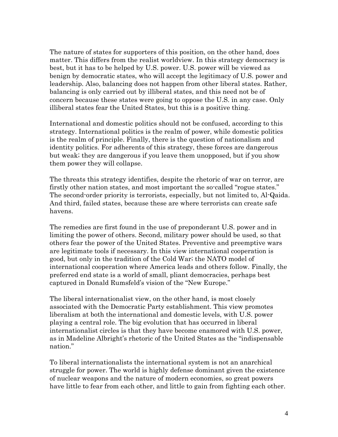The nature of states for supporters of this position, on the other hand, does matter. This differs from the realist worldview. In this strategy democracy is best, but it has to be helped by U.S. power. U.S. power will be viewed as benign by democratic states, who will accept the legitimacy of U.S. power and leadership. Also, balancing does not happen from other liberal states. Rather, balancing is only carried out by illiberal states, and this need not be of concern because these states were going to oppose the U.S. in any case. Only illiberal states fear the United States, but this is a positive thing.

International and domestic politics should not be confused, according to this strategy. International politics is the realm of power, while domestic politics is the realm of principle. Finally, there is the question of nationalism and identity politics. For adherents of this strategy, these forces are dangerous but weak; they are dangerous if you leave them unopposed, but if you show them power they will collapse.

The threats this strategy identifies, despite the rhetoric of war on terror, are firstly other nation states, and most important the so-called "rogue states." The second-order priority is terrorists, especially, but not limited to, Al-Qaida. And third, failed states, because these are where terrorists can create safe havens.

The remedies are first found in the use of preponderant U.S. power and in limiting the power of others. Second, military power should be used, so that others fear the power of the United States. Preventive and preemptive wars are legitimate tools if necessary. In this view international cooperation is good, but only in the tradition of the Cold War; the NATO model of international cooperation where America leads and others follow. Finally, the preferred end state is a world of small, pliant democracies, perhaps best captured in Donald Rumsfeld's vision of the "New Europe."

The liberal internationalist view, on the other hand, is most closely associated with the Democratic Party establishment. This view promotes liberalism at both the international and domestic levels, with U.S. power playing a central role. The big evolution that has occurred in liberal internationalist circles is that they have become enamored with U.S. power, as in Madeline Albright's rhetoric of the United States as the "indispensable nation."

To liberal internationalists the international system is not an anarchical struggle for power. The world is highly defense dominant given the existence of nuclear weapons and the nature of modern economies, so great powers have little to fear from each other, and little to gain from fighting each other.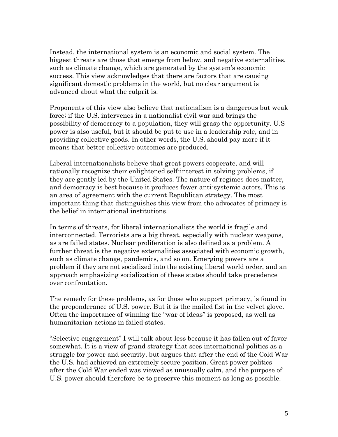Instead, the international system is an economic and social system. The biggest threats are those that emerge from below, and negative externalities, such as climate change, which are generated by the system's economic success. This view acknowledges that there are factors that are causing significant domestic problems in the world, but no clear argument is advanced about what the culprit is.

Proponents of this view also believe that nationalism is a dangerous but weak force; if the U.S. intervenes in a nationalist civil war and brings the possibility of democracy to a population, they will grasp the opportunity. U.S power is also useful, but it should be put to use in a leadership role, and in providing collective goods. In other words, the U.S. should pay more if it means that better collective outcomes are produced.

Liberal internationalists believe that great powers cooperate, and will rationally recognize their enlightened self-interest in solving problems, if they are gently led by the United States. The nature of regimes does matter, and democracy is best because it produces fewer anti-systemic actors. This is an area of agreement with the current Republican strategy. The most important thing that distinguishes this view from the advocates of primacy is the belief in international institutions.

In terms of threats, for liberal internationalists the world is fragile and interconnected. Terrorists are a big threat, especially with nuclear weapons, as are failed states. Nuclear proliferation is also defined as a problem. A further threat is the negative externalities associated with economic growth, such as climate change, pandemics, and so on. Emerging powers are a problem if they are not socialized into the existing liberal world order, and an approach emphasizing socialization of these states should take precedence over confrontation.

The remedy for these problems, as for those who support primacy, is found in the preponderance of U.S. power. But it is the mailed fist in the velvet glove. Often the importance of winning the "war of ideas" is proposed, as well as humanitarian actions in failed states.

"Selective engagement" I will talk about less because it has fallen out of favor somewhat. It is a view of grand strategy that sees international politics as a struggle for power and security, but argues that after the end of the Cold War the U.S. had achieved an extremely secure position. Great power politics after the Cold War ended was viewed as unusually calm, and the purpose of U.S. power should therefore be to preserve this moment as long as possible.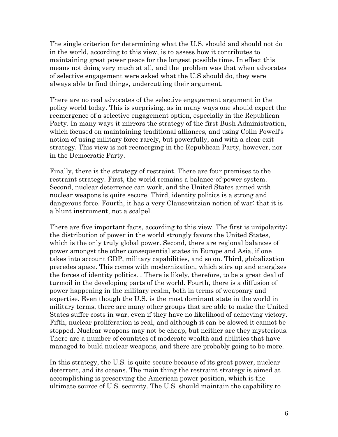The single criterion for determining what the U.S. should and should not do in the world, according to this view, is to assess how it contributes to maintaining great power peace for the longest possible time. In effect this means not doing very much at all, and the problem was that when advocates of selective engagement were asked what the U.S should do, they were always able to find things, undercutting their argument.

There are no real advocates of the selective engagement argument in the policy world today. This is surprising, as in many ways one should expect the reemergence of a selective engagement option, especially in the Republican Party. In many ways it mirrors the strategy of the first Bush Administration, which focused on maintaining traditional alliances, and using Colin Powell's notion of using military force rarely, but powerfully, and with a clear exit strategy. This view is not reemerging in the Republican Party, however, nor in the Democratic Party.

Finally, there is the strategy of restraint. There are four premises to the restraint strategy. First, the world remains a balance-of-power system. Second, nuclear deterrence can work, and the United States armed with nuclear weapons is quite secure. Third, identity politics is a strong and dangerous force. Fourth, it has a very Clausewitzian notion of war: that it is a blunt instrument, not a scalpel.

There are five important facts, according to this view. The first is unipolarity; the distribution of power in the world strongly favors the United States, which is the only truly global power. Second, there are regional balances of power amongst the other consequential states in Europe and Asia, if one takes into account GDP, military capabilities, and so on. Third, globalization precedes apace. This comes with modernization, which stirs up and energizes the forces of identity politics. . There is likely, therefore, to be a great deal of turmoil in the developing parts of the world. Fourth, there is a diffusion of power happening in the military realm, both in terms of weaponry and expertise. Even though the U.S. is the most dominant state in the world in military terms, there are many other groups that are able to make the United States suffer costs in war, even if they have no likelihood of achieving victory. Fifth, nuclear proliferation is real, and although it can be slowed it cannot be stopped. Nuclear weapons may not be cheap, but neither are they mysterious. There are a number of countries of moderate wealth and abilities that have managed to build nuclear weapons, and there are probably going to be more.

In this strategy, the U.S. is quite secure because of its great power, nuclear deterrent, and its oceans. The main thing the restraint strategy is aimed at accomplishing is preserving the American power position, which is the ultimate source of U.S. security. The U.S. should maintain the capability to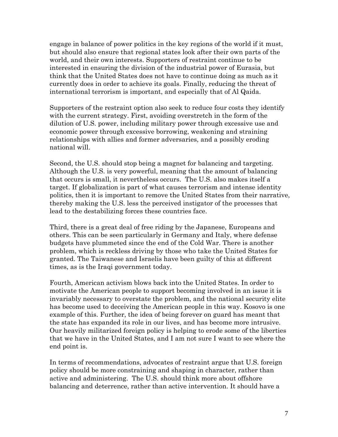engage in balance of power politics in the key regions of the world if it must, but should also ensure that regional states look after their own parts of the world, and their own interests. Supporters of restraint continue to be interested in ensuring the division of the industrial power of Eurasia, but think that the United States does not have to continue doing as much as it currently does in order to achieve its goals. Finally, reducing the threat of international terrorism is important, and especially that of Al Qaida.

Supporters of the restraint option also seek to reduce four costs they identify with the current strategy. First, avoiding overstretch in the form of the dilution of U.S. power, including military power through excessive use and economic power through excessive borrowing, weakening and straining relationships with allies and former adversaries, and a possibly eroding national will.

Second, the U.S. should stop being a magnet for balancing and targeting. Although the U.S. is very powerful, meaning that the amount of balancing that occurs is small, it nevertheless occurs. The U.S. also makes itself a target. If globalization is part of what causes terrorism and intense identity politics, then it is important to remove the United States from their narrative, thereby making the U.S. less the perceived instigator of the processes that lead to the destabilizing forces these countries face.

Third, there is a great deal of free riding by the Japanese, Europeans and others. This can be seen particularly in Germany and Italy, where defense budgets have plummeted since the end of the Cold War. There is another problem, which is reckless driving by those who take the United States for granted. The Taiwanese and Israelis have been guilty of this at different times, as is the Iraqi government today.

Fourth, American activism blows back into the United States. In order to motivate the American people to support becoming involved in an issue it is invariably necessary to overstate the problem, and the national security elite has become used to deceiving the American people in this way. Kosovo is one example of this. Further, the idea of being forever on guard has meant that the state has expanded its role in our lives, and has become more intrusive. Our heavily militarized foreign policy is helping to erode some of the liberties that we have in the United States, and I am not sure I want to see where the end point is.

In terms of recommendations, advocates of restraint argue that U.S. foreign policy should be more constraining and shaping in character, rather than active and administering. The U.S. should think more about offshore balancing and deterrence, rather than active intervention. It should have a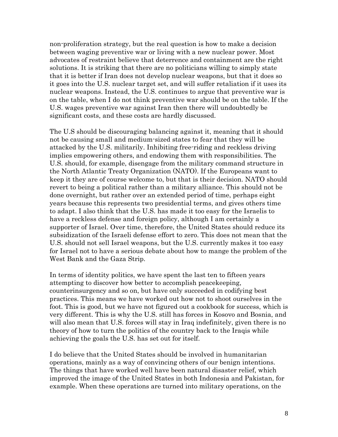non-proliferation strategy, but the real question is how to make a decision between waging preventive war or living with a new nuclear power. Most advocates of restraint believe that deterrence and containment are the right solutions. It is striking that there are no politicians willing to simply state that it is better if Iran does not develop nuclear weapons, but that it does so it goes into the U.S. nuclear target set, and will suffer retaliation if it uses its nuclear weapons. Instead, the U.S. continues to argue that preventive war is on the table, when I do not think preventive war should be on the table. If the U.S. wages preventive war against Iran then there will undoubtedly be significant costs, and these costs are hardly discussed.

The U.S should be discouraging balancing against it, meaning that it should not be causing small and medium-sized states to fear that they will be attacked by the U.S. militarily. Inhibiting free-riding and reckless driving implies empowering others, and endowing them with responsibilities. The U.S. should, for example, disengage from the military command structure in the North Atlantic Treaty Organization (NATO). If the Europeans want to keep it they are of course welcome to, but that is their decision. NATO should revert to being a political rather than a military alliance. This should not be done overnight, but rather over an extended period of time, perhaps eight years because this represents two presidential terms, and gives others time to adapt. I also think that the U.S. has made it too easy for the Israelis to have a reckless defense and foreign policy, although I am certainly a supporter of Israel. Over time, therefore, the United States should reduce its subsidization of the Israeli defense effort to zero. This does not mean that the U.S. should not sell Israel weapons, but the U.S. currently makes it too easy for Israel not to have a serious debate about how to mange the problem of the West Bank and the Gaza Strip.

In terms of identity politics, we have spent the last ten to fifteen years attempting to discover how better to accomplish peacekeeping, counterinsurgency and so on, but have only succeeded in codifying best practices. This means we have worked out how not to shoot ourselves in the foot. This is good, but we have not figured out a cookbook for success, which is very different. This is why the U.S. still has forces in Kosovo and Bosnia, and will also mean that U.S. forces will stay in Iraq indefinitely, given there is no theory of how to turn the politics of the country back to the Iraqis while achieving the goals the U.S. has set out for itself.

I do believe that the United States should be involved in humanitarian operations, mainly as a way of convincing others of our benign intentions. The things that have worked well have been natural disaster relief, which improved the image of the United States in both Indonesia and Pakistan, for example. When these operations are turned into military operations, on the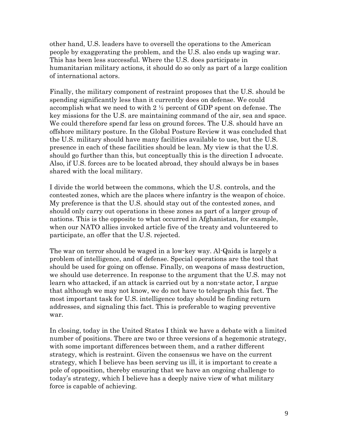other hand, U.S. leaders have to oversell the operations to the American people by exaggerating the problem, and the U.S. also ends up waging war. This has been less successful. Where the U.S. does participate in humanitarian military actions, it should do so only as part of a large coalition of international actors.

Finally, the military component of restraint proposes that the U.S. should be spending significantly less than it currently does on defense. We could accomplish what we need to with 2 ½ percent of GDP spent on defense. The key missions for the U.S. are maintaining command of the air, sea and space. We could therefore spend far less on ground forces. The U.S. should have an offshore military posture. In the Global Posture Review it was concluded that the U.S. military should have many facilities available to use, but the U.S. presence in each of these facilities should be lean. My view is that the U.S. should go further than this, but conceptually this is the direction I advocate. Also, if U.S. forces are to be located abroad, they should always be in bases shared with the local military.

I divide the world between the commons, which the U.S. controls, and the contested zones, which are the places where infantry is the weapon of choice. My preference is that the U.S. should stay out of the contested zones, and should only carry out operations in these zones as part of a larger group of nations. This is the opposite to what occurred in Afghanistan, for example, when our NATO allies invoked article five of the treaty and volunteered to participate, an offer that the U.S. rejected.

The war on terror should be waged in a low-key way. Al-Qaida is largely a problem of intelligence, and of defense. Special operations are the tool that should be used for going on offense. Finally, on weapons of mass destruction, we should use deterrence. In response to the argument that the U.S. may not learn who attacked, if an attack is carried out by a non-state actor, I argue that although we may not know, we do not have to telegraph this fact. The most important task for U.S. intelligence today should be finding return addresses, and signaling this fact. This is preferable to waging preventive war.

In closing, today in the United States I think we have a debate with a limited number of positions. There are two or three versions of a hegemonic strategy, with some important differences between them, and a rather different strategy, which is restraint. Given the consensus we have on the current strategy, which I believe has been serving us ill, it is important to create a pole of opposition, thereby ensuring that we have an ongoing challenge to today's strategy, which I believe has a deeply naive view of what military force is capable of achieving.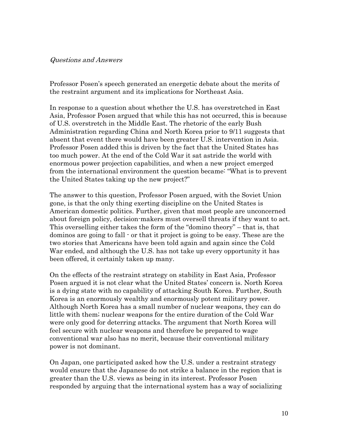### Questions and Answers

Professor Posen's speech generated an energetic debate about the merits of the restraint argument and its implications for Northeast Asia.

In response to a question about whether the U.S. has overstretched in East Asia, Professor Posen argued that while this has not occurred, this is because of U.S. overstretch in the Middle East. The rhetoric of the early Bush Administration regarding China and North Korea prior to 9/11 suggests that absent that event there would have been greater U.S. intervention in Asia. Professor Posen added this is driven by the fact that the United States has too much power. At the end of the Cold War it sat astride the world with enormous power projection capabilities, and when a new project emerged from the international environment the question became: "What is to prevent the United States taking up the new project?"

The answer to this question, Professor Posen argued, with the Soviet Union gone, is that the only thing exerting discipline on the United States is American domestic politics. Further, given that most people are unconcerned about foreign policy, decision-makers must oversell threats if they want to act. This overselling either takes the form of the "domino theory" – that is, that dominos are going to fall - or that it project is going to be easy. These are the two stories that Americans have been told again and again since the Cold War ended, and although the U.S. has not take up every opportunity it has been offered, it certainly taken up many.

On the effects of the restraint strategy on stability in East Asia, Professor Posen argued it is not clear what the United States' concern is. North Korea is a dying state with no capability of attacking South Korea. Further, South Korea is an enormously wealthy and enormously potent military power. Although North Korea has a small number of nuclear weapons, they can do little with them; nuclear weapons for the entire duration of the Cold War were only good for deterring attacks. The argument that North Korea will feel secure with nuclear weapons and therefore be prepared to wage conventional war also has no merit, because their conventional military power is not dominant.

On Japan, one participated asked how the U.S. under a restraint strategy would ensure that the Japanese do not strike a balance in the region that is greater than the U.S. views as being in its interest. Professor Posen responded by arguing that the international system has a way of socializing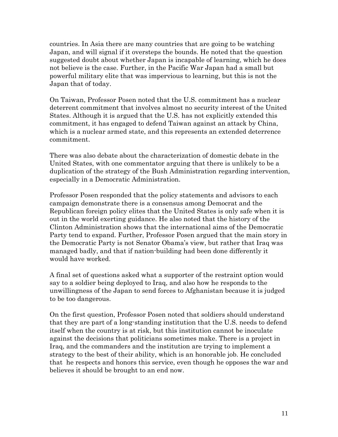countries. In Asia there are many countries that are going to be watching Japan, and will signal if it oversteps the bounds. He noted that the question suggested doubt about whether Japan is incapable of learning, which he does not believe is the case. Further, in the Pacific War Japan had a small but powerful military elite that was impervious to learning, but this is not the Japan that of today.

On Taiwan, Professor Posen noted that the U.S. commitment has a nuclear deterrent commitment that involves almost no security interest of the United States. Although it is argued that the U.S. has not explicitly extended this commitment, it has engaged to defend Taiwan against an attack by China, which is a nuclear armed state, and this represents an extended deterrence commitment.

There was also debate about the characterization of domestic debate in the United States, with one commentator arguing that there is unlikely to be a duplication of the strategy of the Bush Administration regarding intervention, especially in a Democratic Administration.

Professor Posen responded that the policy statements and advisors to each campaign demonstrate there is a consensus among Democrat and the Republican foreign policy elites that the United States is only safe when it is out in the world exerting guidance. He also noted that the history of the Clinton Administration shows that the international aims of the Democratic Party tend to expand. Further, Professor Posen argued that the main story in the Democratic Party is not Senator Obama's view, but rather that Iraq was managed badly, and that if nation-building had been done differently it would have worked.

A final set of questions asked what a supporter of the restraint option would say to a soldier being deployed to Iraq, and also how he responds to the unwillingness of the Japan to send forces to Afghanistan because it is judged to be too dangerous.

On the first question, Professor Posen noted that soldiers should understand that they are part of a long-standing institution that the U.S. needs to defend itself when the country is at risk, but this institution cannot be inoculate against the decisions that politicians sometimes make. There is a project in Iraq, and the commanders and the institution are trying to implement a strategy to the best of their ability, which is an honorable job. He concluded that he respects and honors this service, even though he opposes the war and believes it should be brought to an end now.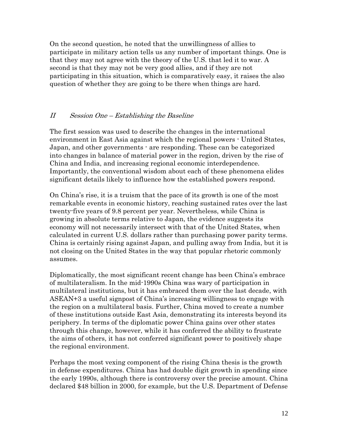On the second question, he noted that the unwillingness of allies to participate in military action tells us any number of important things. One is that they may not agree with the theory of the U.S. that led it to war. A second is that they may not be very good allies, and if they are not participating in this situation, which is comparatively easy, it raises the also question of whether they are going to be there when things are hard.

# II Session One – Establishing the Baseline

The first session was used to describe the changes in the international environment in East Asia against which the regional powers - United States, Japan, and other governments - are responding. These can be categorized into changes in balance of material power in the region, driven by the rise of China and India, and increasing regional economic interdependence. Importantly, the conventional wisdom about each of these phenomena elides significant details likely to influence how the established powers respond.

On China's rise, it is a truism that the pace of its growth is one of the most remarkable events in economic history, reaching sustained rates over the last twenty-five years of 9.8 percent per year. Nevertheless, while China is growing in absolute terms relative to Japan, the evidence suggests its economy will not necessarily intersect with that of the United States, when calculated in current U.S. dollars rather than purchasing power parity terms. China is certainly rising against Japan, and pulling away from India, but it is not closing on the United States in the way that popular rhetoric commonly assumes.

Diplomatically, the most significant recent change has been China's embrace of multilateralism. In the mid-1990s China was wary of participation in multilateral institutions, but it has embraced them over the last decade, with ASEAN+3 a useful signpost of China's increasing willingness to engage with the region on a multilateral basis. Further, China moved to create a number of these institutions outside East Asia, demonstrating its interests beyond its periphery. In terms of the diplomatic power China gains over other states through this change, however, while it has conferred the ability to frustrate the aims of others, it has not conferred significant power to positively shape the regional environment.

Perhaps the most vexing component of the rising China thesis is the growth in defense expenditures. China has had double digit growth in spending since the early 1990s, although there is controversy over the precise amount. China declared \$48 billion in 2000, for example, but the U.S. Department of Defense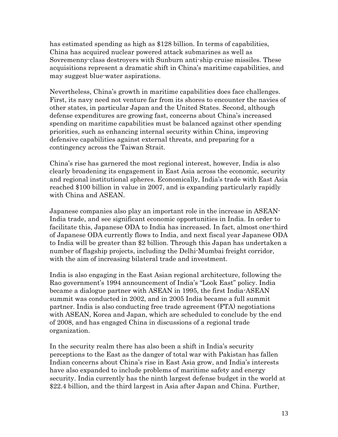has estimated spending as high as \$128 billion. In terms of capabilities, China has acquired nuclear powered attack submarines as well as Sovremenny-class destroyers with Sunburn anti-ship cruise missiles. These acquisitions represent a dramatic shift in China's maritime capabilities, and may suggest blue-water aspirations.

Nevertheless, China's growth in maritime capabilities does face challenges. First, its navy need not venture far from its shores to encounter the navies of other states, in particular Japan and the United States. Second, although defense expenditures are growing fast, concerns about China's increased spending on maritime capabilities must be balanced against other spending priorities, such as enhancing internal security within China, improving defensive capabilities against external threats, and preparing for a contingency across the Taiwan Strait.

China's rise has garnered the most regional interest, however, India is also clearly broadening its engagement in East Asia across the economic, security and regional institutional spheres. Economically, India's trade with East Asia reached \$100 billion in value in 2007, and is expanding particularly rapidly with China and ASEAN.

Japanese companies also play an important role in the increase in ASEAN-India trade, and see significant economic opportunities in India. In order to facilitate this, Japanese ODA to India has increased. In fact, almost one-third of Japanese ODA currently flows to India, and next fiscal year Japanese ODA to India will be greater than \$2 billion. Through this Japan has undertaken a number of flagship projects, including the Delhi-Mumbai freight corridor, with the aim of increasing bilateral trade and investment.

India is also engaging in the East Asian regional architecture, following the Rao government's 1994 announcement of India's "Look East" policy. India became a dialogue partner with ASEAN in 1995, the first India-ASEAN summit was conducted in 2002, and in 2005 India became a full summit partner. India is also conducting free trade agreement (FTA) negotiations with ASEAN, Korea and Japan, which are scheduled to conclude by the end of 2008, and has engaged China in discussions of a regional trade organization.

In the security realm there has also been a shift in India's security perceptions to the East as the danger of total war with Pakistan has fallen Indian concerns about China's rise in East Asia grow, and India's interests have also expanded to include problems of maritime safety and energy security. India currently has the ninth largest defense budget in the world at \$22.4 billion, and the third largest in Asia after Japan and China. Further,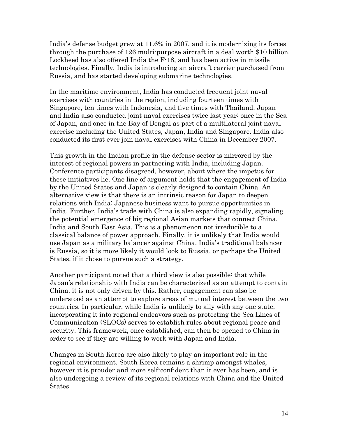India's defense budget grew at 11.6% in 2007, and it is modernizing its forces through the purchase of 126 multi-purpose aircraft in a deal worth \$10 billion. Lockheed has also offered India the F-18, and has been active in missile technologies. Finally, India is introducing an aircraft carrier purchased from Russia, and has started developing submarine technologies.

In the maritime environment, India has conducted frequent joint naval exercises with countries in the region, including fourteen times with Singapore, ten times with Indonesia, and five times with Thailand. Japan and India also conducted joint naval exercises twice last year: once in the Sea of Japan, and once in the Bay of Bengal as part of a multilateral joint naval exercise including the United States, Japan, India and Singapore. India also conducted its first ever join naval exercises with China in December 2007.

This growth in the Indian profile in the defense sector is mirrored by the interest of regional powers in partnering with India, including Japan. Conference participants disagreed, however, about where the impetus for these initiatives lie. One line of argument holds that the engagement of India by the United States and Japan is clearly designed to contain China. An alternative view is that there is an intrinsic reason for Japan to deepen relations with India: Japanese business want to pursue opportunities in India. Further, India's trade with China is also expanding rapidly, signaling the potential emergence of big regional Asian markets that connect China, India and South East Asia. This is a phenomenon not irreducible to a classical balance of power approach. Finally, it is unlikely that India would use Japan as a military balancer against China. India's traditional balancer is Russia, so it is more likely it would look to Russia, or perhaps the United States, if it chose to pursue such a strategy.

Another participant noted that a third view is also possible: that while Japan's relationship with India can be characterized as an attempt to contain China, it is not only driven by this. Rather, engagement can also be understood as an attempt to explore areas of mutual interest between the two countries. In particular, while India is unlikely to ally with any one state, incorporating it into regional endeavors such as protecting the Sea Lines of Communication (SLOCs) serves to establish rules about regional peace and security. This framework, once established, can then be opened to China in order to see if they are willing to work with Japan and India.

Changes in South Korea are also likely to play an important role in the regional environment. South Korea remains a shrimp amongst whales, however it is prouder and more self-confident than it ever has been, and is also undergoing a review of its regional relations with China and the United States.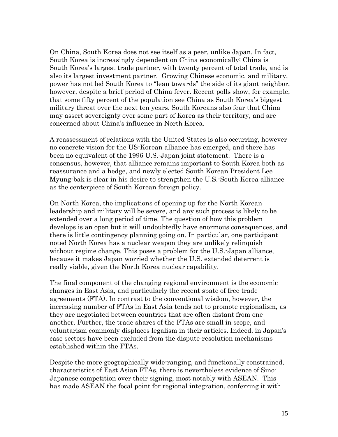On China, South Korea does not see itself as a peer, unlike Japan. In fact, South Korea is increasingly dependent on China economically; China is South Korea's largest trade partner, with twenty percent of total trade, and is also its largest investment partner. Growing Chinese economic, and military, power has not led South Korea to "lean towards" the side of its giant neighbor, however, despite a brief period of China fever. Recent polls show, for example, that some fifty percent of the population see China as South Korea's biggest military threat over the next ten years. South Koreans also fear that China may assert sovereignty over some part of Korea as their territory, and are concerned about China's influence in North Korea.

A reassessment of relations with the United States is also occurring, however no concrete vision for the US-Korean alliance has emerged, and there has been no equivalent of the 1996 U.S.-Japan joint statement. There is a consensus, however, that alliance remains important to South Korea both as reassurance and a hedge, and newly elected South Korean President Lee Myung-bak is clear in his desire to strengthen the U.S.-South Korea alliance as the centerpiece of South Korean foreign policy.

On North Korea, the implications of opening up for the North Korean leadership and military will be severe, and any such process is likely to be extended over a long period of time. The question of how this problem develops is an open but it will undoubtedly have enormous consequences, and there is little contingency planning going on. In particular, one participant noted North Korea has a nuclear weapon they are unlikely relinquish without regime change. This poses a problem for the U.S.-Japan alliance, because it makes Japan worried whether the U.S. extended deterrent is really viable, given the North Korea nuclear capability.

The final component of the changing regional environment is the economic changes in East Asia, and particularly the recent spate of free trade agreements (FTA). In contrast to the conventional wisdom, however, the increasing number of FTAs in East Asia tends not to promote regionalism, as they are negotiated between countries that are often distant from one another. Further, the trade shares of the FTAs are small in scope, and voluntarism commonly displaces legalism in their articles. Indeed, in Japan's case sectors have been excluded from the dispute-resolution mechanisms established within the FTAs.

Despite the more geographically wide-ranging, and functionally constrained, characteristics of East Asian FTAs, there is nevertheless evidence of Sino-Japanese competition over their signing, most notably with ASEAN. This has made ASEAN the focal point for regional integration, conferring it with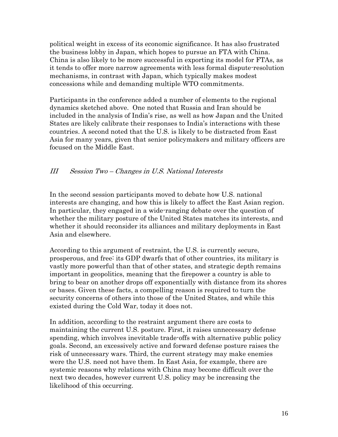political weight in excess of its economic significance. It has also frustrated the business lobby in Japan, which hopes to pursue an FTA with China. China is also likely to be more successful in exporting its model for FTAs, as it tends to offer more narrow agreements with less formal dispute-resolution mechanisms, in contrast with Japan, which typically makes modest concessions while and demanding multiple WTO commitments.

Participants in the conference added a number of elements to the regional dynamics sketched above. One noted that Russia and Iran should be included in the analysis of India's rise, as well as how Japan and the United States are likely calibrate their responses to India's interactions with these countries. A second noted that the U.S. is likely to be distracted from East Asia for many years, given that senior policymakers and military officers are focused on the Middle East.

# III Session Two – Changes in U.S. National Interests

In the second session participants moved to debate how U.S. national interests are changing, and how this is likely to affect the East Asian region. In particular, they engaged in a wide-ranging debate over the question of whether the military posture of the United States matches its interests, and whether it should reconsider its alliances and military deployments in East Asia and elsewhere.

According to this argument of restraint, the U.S. is currently secure, prosperous, and free: its GDP dwarfs that of other countries, its military is vastly more powerful than that of other states, and strategic depth remains important in geopolitics, meaning that the firepower a country is able to bring to bear on another drops off exponentially with distance from its shores or bases. Given these facts, a compelling reason is required to turn the security concerns of others into those of the United States, and while this existed during the Cold War, today it does not.

In addition, according to the restraint argument there are costs to maintaining the current U.S. posture. First, it raises unnecessary defense spending, which involves inevitable trade-offs with alternative public policy goals. Second, an excessively active and forward defense posture raises the risk of unnecessary wars. Third, the current strategy may make enemies were the U.S. need not have them. In East Asia, for example, there are systemic reasons why relations with China may become difficult over the next two decades, however current U.S. policy may be increasing the likelihood of this occurring.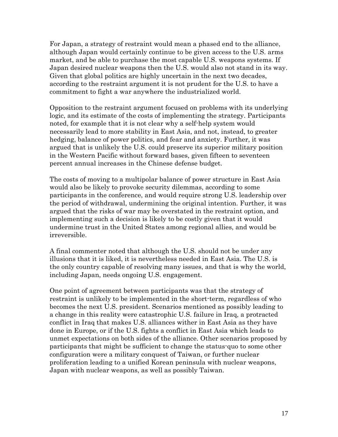For Japan, a strategy of restraint would mean a phased end to the alliance, although Japan would certainly continue to be given access to the U.S. arms market, and be able to purchase the most capable U.S. weapons systems. If Japan desired nuclear weapons then the U.S. would also not stand in its way. Given that global politics are highly uncertain in the next two decades, according to the restraint argument it is not prudent for the U.S. to have a commitment to fight a war anywhere the industrialized world.

Opposition to the restraint argument focused on problems with its underlying logic, and its estimate of the costs of implementing the strategy. Participants noted, for example that it is not clear why a self-help system would necessarily lead to more stability in East Asia, and not, instead, to greater hedging, balance of power politics, and fear and anxiety. Further, it was argued that is unlikely the U.S. could preserve its superior military position in the Western Pacific without forward bases, given fifteen to seventeen percent annual increases in the Chinese defense budget.

The costs of moving to a multipolar balance of power structure in East Asia would also be likely to provoke security dilemmas, according to some participants in the conference, and would require strong U.S. leadership over the period of withdrawal, undermining the original intention. Further, it was argued that the risks of war may be overstated in the restraint option, and implementing such a decision is likely to be costly given that it would undermine trust in the United States among regional allies, and would be irreversible.

A final commenter noted that although the U.S. should not be under any illusions that it is liked, it is nevertheless needed in East Asia. The U.S. is the only country capable of resolving many issues, and that is why the world, including Japan, needs ongoing U.S. engagement.

One point of agreement between participants was that the strategy of restraint is unlikely to be implemented in the short-term, regardless of who becomes the next U.S. president. Scenarios mentioned as possibly leading to a change in this reality were catastrophic U.S. failure in Iraq, a protracted conflict in Iraq that makes U.S. alliances wither in East Asia as they have done in Europe, or if the U.S. fights a conflict in East Asia which leads to unmet expectations on both sides of the alliance. Other scenarios proposed by participants that might be sufficient to change the status-quo to some other configuration were a military conquest of Taiwan, or further nuclear proliferation leading to a unified Korean peninsula with nuclear weapons, Japan with nuclear weapons, as well as possibly Taiwan.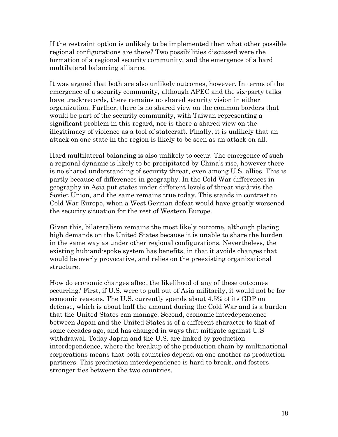If the restraint option is unlikely to be implemented then what other possible regional configurations are there? Two possibilities discussed were the formation of a regional security community, and the emergence of a hard multilateral balancing alliance.

It was argued that both are also unlikely outcomes, however. In terms of the emergence of a security community, although APEC and the six-party talks have track-records, there remains no shared security vision in either organization. Further, there is no shared view on the common borders that would be part of the security community, with Taiwan representing a significant problem in this regard, nor is there a shared view on the illegitimacy of violence as a tool of statecraft. Finally, it is unlikely that an attack on one state in the region is likely to be seen as an attack on all.

Hard multilateral balancing is also unlikely to occur. The emergence of such a regional dynamic is likely to be precipitated by China's rise, however there is no shared understanding of security threat, even among U.S. allies. This is partly because of differences in geography. In the Cold War differences in geography in Asia put states under different levels of threat vis-à-vis the Soviet Union, and the same remains true today. This stands in contrast to Cold War Europe, when a West German defeat would have greatly worsened the security situation for the rest of Western Europe.

Given this, bilateralism remains the most likely outcome, although placing high demands on the United States because it is unable to share the burden in the same way as under other regional configurations. Nevertheless, the existing hub-and-spoke system has benefits, in that it avoids changes that would be overly provocative, and relies on the preexisting organizational structure.

How do economic changes affect the likelihood of any of these outcomes occurring? First, if U.S. were to pull out of Asia militarily, it would not be for economic reasons. The U.S. currently spends about 4.5% of its GDP on defense, which is about half the amount during the Cold War and is a burden that the United States can manage. Second, economic interdependence between Japan and the United States is of a different character to that of some decades ago, and has changed in ways that mitigate against U.S withdrawal. Today Japan and the U.S. are linked by production interdependence, where the breakup of the production chain by multinational corporations means that both countries depend on one another as production partners. This production interdependence is hard to break, and fosters stronger ties between the two countries.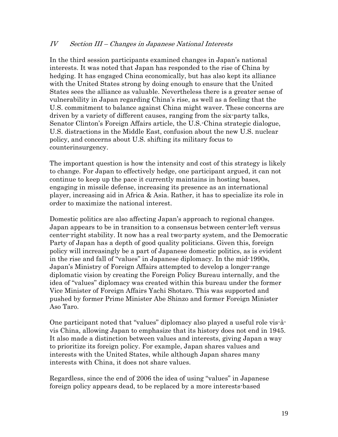# IV Section III – Changes in Japanese National Interests

In the third session participants examined changes in Japan's national interests. It was noted that Japan has responded to the rise of China by hedging. It has engaged China economically, but has also kept its alliance with the United States strong by doing enough to ensure that the United States sees the alliance as valuable. Nevertheless there is a greater sense of vulnerability in Japan regarding China's rise, as well as a feeling that the U.S. commitment to balance against China might waver. These concerns are driven by a variety of different causes, ranging from the six-party talks, Senator Clinton's Foreign Affairs article, the U.S.-China strategic dialogue, U.S. distractions in the Middle East, confusion about the new U.S. nuclear policy, and concerns about U.S. shifting its military focus to counterinsurgency.

The important question is how the intensity and cost of this strategy is likely to change. For Japan to effectively hedge, one participant argued, it can not continue to keep up the pace it currently maintains in hosting bases, engaging in missile defense, increasing its presence as an international player, increasing aid in Africa & Asia. Rather, it has to specialize its role in order to maximize the national interest.

Domestic politics are also affecting Japan's approach to regional changes. Japan appears to be in transition to a consensus between center-left versus center-right stability. It now has a real two-party system, and the Democratic Party of Japan has a depth of good quality politicians. Given this, foreign policy will increasingly be a part of Japanese domestic politics, as is evident in the rise and fall of "values" in Japanese diplomacy. In the mid-1990s, Japan's Ministry of Foreign Affairs attempted to develop a longer-range diplomatic vision by creating the Foreign Policy Bureau internally, and the idea of "values" diplomacy was created within this bureau under the former Vice Minister of Foreign Affairs Yachi Shotaro. This was supported and pushed by former Prime Minister Abe Shinzo and former Foreign Minister Aso Taro.

One participant noted that "values" diplomacy also played a useful role vis-àvis China, allowing Japan to emphasize that its history does not end in 1945. It also made a distinction between values and interests, giving Japan a way to prioritize its foreign policy. For example, Japan shares values and interests with the United States, while although Japan shares many interests with China, it does not share values.

Regardless, since the end of 2006 the idea of using "values" in Japanese foreign policy appears dead, to be replaced by a more interests-based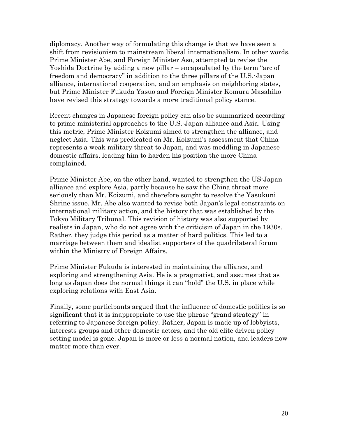diplomacy. Another way of formulating this change is that we have seen a shift from revisionism to mainstream liberal internationalism. In other words, Prime Minister Abe, and Foreign Minister Aso, attempted to revise the Yoshida Doctrine by adding a new pillar – encapsulated by the term "arc of freedom and democracy" in addition to the three pillars of the U.S.-Japan alliance, international cooperation, and an emphasis on neighboring states, but Prime Minister Fukuda Yasuo and Foreign Minister Komura Masahiko have revised this strategy towards a more traditional policy stance.

Recent changes in Japanese foreign policy can also be summarized according to prime ministerial approaches to the U.S.-Japan alliance and Asia. Using this metric, Prime Minister Koizumi aimed to strengthen the alliance, and neglect Asia. This was predicated on Mr. Koizumi's assessment that China represents a weak military threat to Japan, and was meddling in Japanese domestic affairs, leading him to harden his position the more China complained.

Prime Minister Abe, on the other hand, wanted to strengthen the US-Japan alliance and explore Asia, partly because he saw the China threat more seriously than Mr. Koizumi, and therefore sought to resolve the Yasukuni Shrine issue. Mr. Abe also wanted to revise both Japan's legal constraints on international military action, and the history that was established by the Tokyo Military Tribunal. This revision of history was also supported by realists in Japan, who do not agree with the criticism of Japan in the 1930s. Rather, they judge this period as a matter of hard politics. This led to a marriage between them and idealist supporters of the quadrilateral forum within the Ministry of Foreign Affairs.

Prime Minister Fukuda is interested in maintaining the alliance, and exploring and strengthening Asia. He is a pragmatist, and assumes that as long as Japan does the normal things it can "hold" the U.S. in place while exploring relations with East Asia.

Finally, some participants argued that the influence of domestic politics is so significant that it is inappropriate to use the phrase "grand strategy" in referring to Japanese foreign policy. Rather, Japan is made up of lobbyists, interests groups and other domestic actors, and the old elite driven policy setting model is gone. Japan is more or less a normal nation, and leaders now matter more than ever.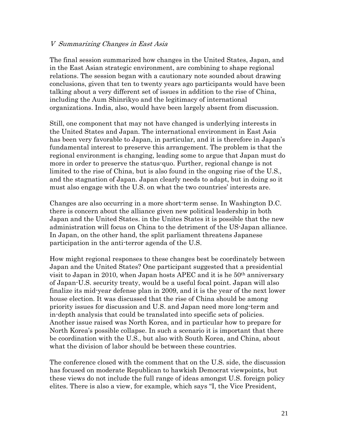### V Summarizing Changes in East Asia

The final session summarized how changes in the United States, Japan, and in the East Asian strategic environment, are combining to shape regional relations. The session began with a cautionary note sounded about drawing conclusions, given that ten to twenty years ago participants would have been talking about a very different set of issues in addition to the rise of China, including the Aum Shinrikyo and the legitimacy of international organizations. India, also, would have been largely absent from discussion.

Still, one component that may not have changed is underlying interests in the United States and Japan. The international environment in East Asia has been very favorable to Japan, in particular, and it is therefore in Japan's fundamental interest to preserve this arrangement. The problem is that the regional environment is changing, leading some to argue that Japan must do more in order to preserve the status-quo. Further, regional change is not limited to the rise of China, but is also found in the ongoing rise of the U.S., and the stagnation of Japan. Japan clearly needs to adapt, but in doing so it must also engage with the U.S. on what the two countries' interests are.

Changes are also occurring in a more short-term sense. In Washington D.C. there is concern about the alliance given new political leadership in both Japan and the United States. in the Unites States it is possible that the new administration will focus on China to the detriment of the US-Japan alliance. In Japan, on the other hand, the split parliament threatens Japanese participation in the anti-terror agenda of the U.S.

How might regional responses to these changes best be coordinately between Japan and the United States? One participant suggested that a presidential visit to Japan in 2010, when Japan hosts APEC and it is he  $50<sup>th</sup>$  anniversary of Japan-U.S. security treaty, would be a useful focal point. Japan will also finalize its mid-year defense plan in 2009, and it is the year of the next lower house election. It was discussed that the rise of China should be among priority issues for discussion and U.S. and Japan need more long-term and in-depth analysis that could be translated into specific sets of policies. Another issue raised was North Korea, and in particular how to prepare for North Korea's possible collapse. In such a scenario it is important that there be coordination with the U.S., but also with South Korea, and China, about what the division of labor should be between these countries.

The conference closed with the comment that on the U.S. side, the discussion has focused on moderate Republican to hawkish Democrat viewpoints, but these views do not include the full range of ideas amongst U.S. foreign policy elites. There is also a view, for example, which says "I, the Vice President,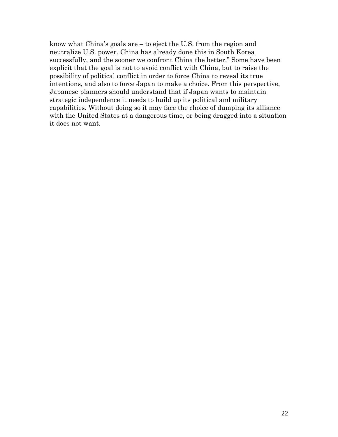know what China's goals are – to eject the U.S. from the region and neutralize U.S. power. China has already done this in South Korea successfully, and the sooner we confront China the better." Some have been explicit that the goal is not to avoid conflict with China, but to raise the possibility of political conflict in order to force China to reveal its true intentions, and also to force Japan to make a choice. From this perspective, Japanese planners should understand that if Japan wants to maintain strategic independence it needs to build up its political and military capabilities. Without doing so it may face the choice of dumping its alliance with the United States at a dangerous time, or being dragged into a situation it does not want.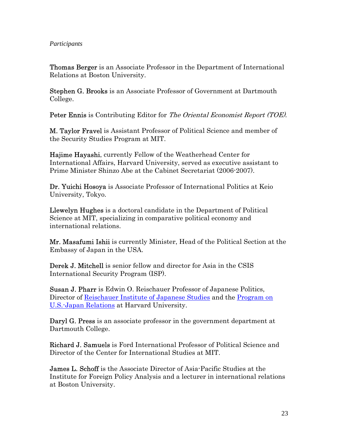# *Participants*

Thomas Berger is an Associate Professor in the Department of International Relations at Boston University.

Stephen G. Brooks is an Associate Professor of Government at Dartmouth College.

Peter Ennis is Contributing Editor for The Oriental Economist Report (TOE).

M. Taylor Fravel is Assistant Professor of Political Science and member of the Security Studies Program at MIT.

Hajime Hayashi, currently Fellow of the Weatherhead Center for International Affairs, Harvard University, served as executive assistant to Prime Minister Shinzo Abe at the Cabinet Secretariat (2006-2007).

Dr. Yuichi Hosoya is Associate Professor of International Politics at Keio University, Tokyo.

Llewelyn Hughes is a doctoral candidate in the Department of Political Science at MIT, specializing in comparative political economy and international relations.

Mr. Masafumi Ishii is currently Minister, Head of the Political Section at the Embassy of Japan in the USA.

Derek J. Mitchell is senior fellow and director for Asia in the CSIS International Security Program (ISP).

Susan J. Pharr is Edwin O. Reischauer Professor of Japanese Politics, Director of [Reischauer Institute of Japanese Studies](http://www.fas.harvard.edu/~rijs) and the Program on [U.S.-Japan Relations](http://www.wcfia.harvard.edu/us-japan) at Harvard University.

Daryl G. Press is an associate professor in the government department at Dartmouth College.

Richard J. Samuels is Ford International Professor of Political Science and Director of the Center for International Studies at MIT.

James L. Schoff is the Associate Director of Asia-Pacific Studies at the Institute for Foreign Policy Analysis and a lecturer in international relations at Boston University.